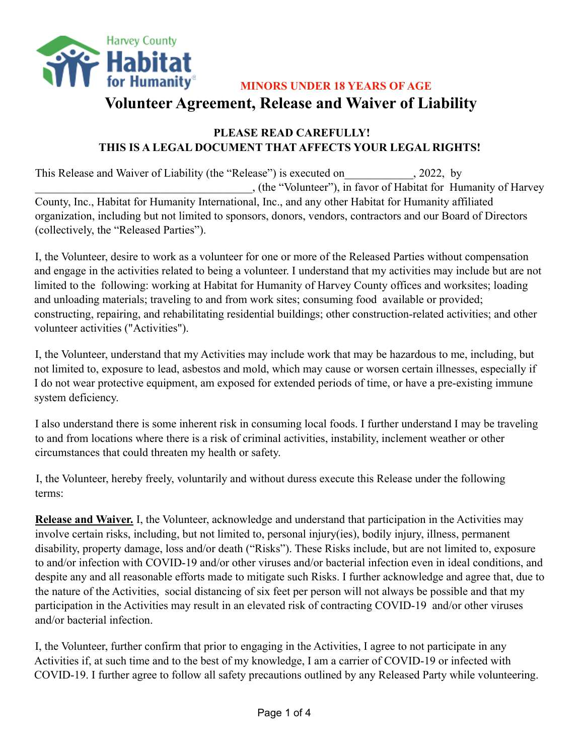

**MINORS UNDER 18 YEARS OF AGE Volunteer Agreement, Release and Waiver of Liability**

## **PLEASE READ CAREFULLY! THIS IS A LEGAL DOCUMENT THAT AFFECTS YOUR LEGAL RIGHTS!**

This Release and Waiver of Liability (the "Release") is executed on  $\qquad \qquad$ , 2022, by \_\_\_\_\_\_\_\_\_\_\_\_\_\_\_\_\_\_\_\_\_\_\_\_\_\_\_\_\_\_\_\_\_\_\_\_\_\_, (the "Volunteer"), in favor of Habitat for Humanity of Harvey County, Inc., Habitat for Humanity International, Inc., and any other Habitat for Humanity affiliated organization, including but not limited to sponsors, donors, vendors, contractors and our Board of Directors (collectively, the "Released Parties").

I, the Volunteer, desire to work as a volunteer for one or more of the Released Parties without compensation and engage in the activities related to being a volunteer. I understand that my activities may include but are not limited to the following: working at Habitat for Humanity of Harvey County offices and worksites; loading and unloading materials; traveling to and from work sites; consuming food available or provided; constructing, repairing, and rehabilitating residential buildings; other construction-related activities; and other volunteer activities ("Activities").

I, the Volunteer, understand that my Activities may include work that may be hazardous to me, including, but not limited to, exposure to lead, asbestos and mold, which may cause or worsen certain illnesses, especially if I do not wear protective equipment, am exposed for extended periods of time, or have a pre-existing immune system deficiency.

I also understand there is some inherent risk in consuming local foods. I further understand I may be traveling to and from locations where there is a risk of criminal activities, instability, inclement weather or other circumstances that could threaten my health or safety.

I, the Volunteer, hereby freely, voluntarily and without duress execute this Release under the following terms:

**Release and Waiver.** I, the Volunteer, acknowledge and understand that participation in the Activities may involve certain risks, including, but not limited to, personal injury(ies), bodily injury, illness, permanent disability, property damage, loss and/or death ("Risks"). These Risks include, but are not limited to, exposure to and/or infection with COVID-19 and/or other viruses and/or bacterial infection even in ideal conditions, and despite any and all reasonable efforts made to mitigate such Risks. I further acknowledge and agree that, due to the nature of the Activities, social distancing of six feet per person will not always be possible and that my participation in the Activities may result in an elevated risk of contracting COVID-19 and/or other viruses and/or bacterial infection.

I, the Volunteer, further confirm that prior to engaging in the Activities, I agree to not participate in any Activities if, at such time and to the best of my knowledge, I am a carrier of COVID-19 or infected with COVID-19. I further agree to follow all safety precautions outlined by any Released Party while volunteering.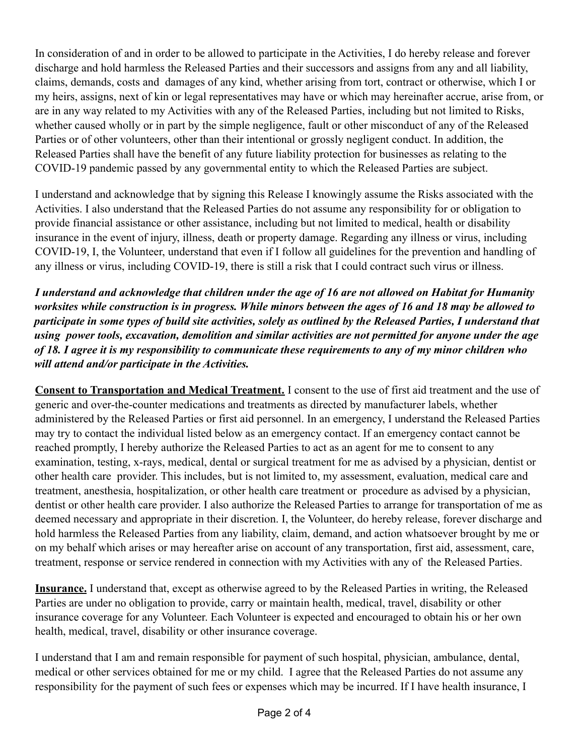In consideration of and in order to be allowed to participate in the Activities, I do hereby release and forever discharge and hold harmless the Released Parties and their successors and assigns from any and all liability, claims, demands, costs and damages of any kind, whether arising from tort, contract or otherwise, which I or my heirs, assigns, next of kin or legal representatives may have or which may hereinafter accrue, arise from, or are in any way related to my Activities with any of the Released Parties, including but not limited to Risks, whether caused wholly or in part by the simple negligence, fault or other misconduct of any of the Released Parties or of other volunteers, other than their intentional or grossly negligent conduct. In addition, the Released Parties shall have the benefit of any future liability protection for businesses as relating to the COVID-19 pandemic passed by any governmental entity to which the Released Parties are subject.

I understand and acknowledge that by signing this Release I knowingly assume the Risks associated with the Activities. I also understand that the Released Parties do not assume any responsibility for or obligation to provide financial assistance or other assistance, including but not limited to medical, health or disability insurance in the event of injury, illness, death or property damage. Regarding any illness or virus, including COVID-19, I, the Volunteer, understand that even if I follow all guidelines for the prevention and handling of any illness or virus, including COVID-19, there is still a risk that I could contract such virus or illness.

*I understand and acknowledge that children under the age of 16 are not allowed on Habitat for Humanity worksites while construction is in progress. While minors between the ages of 16 and 18 may be allowed to participate in some types of build site activities, solely as outlined by the Released Parties, I understand that using power tools, excavation, demolition and similar activities are not permitted for anyone under the age of 18. I agree it is my responsibility to communicate these requirements to any of my minor children who will attend and/or participate in the Activities.*

**Consent to Transportation and Medical Treatment.** I consent to the use of first aid treatment and the use of generic and over-the-counter medications and treatments as directed by manufacturer labels, whether administered by the Released Parties or first aid personnel. In an emergency, I understand the Released Parties may try to contact the individual listed below as an emergency contact. If an emergency contact cannot be reached promptly, I hereby authorize the Released Parties to act as an agent for me to consent to any examination, testing, x-rays, medical, dental or surgical treatment for me as advised by a physician, dentist or other health care provider. This includes, but is not limited to, my assessment, evaluation, medical care and treatment, anesthesia, hospitalization, or other health care treatment or procedure as advised by a physician, dentist or other health care provider. I also authorize the Released Parties to arrange for transportation of me as deemed necessary and appropriate in their discretion. I, the Volunteer, do hereby release, forever discharge and hold harmless the Released Parties from any liability, claim, demand, and action whatsoever brought by me or on my behalf which arises or may hereafter arise on account of any transportation, first aid, assessment, care, treatment, response or service rendered in connection with my Activities with any of the Released Parties.

**Insurance.** I understand that, except as otherwise agreed to by the Released Parties in writing, the Released Parties are under no obligation to provide, carry or maintain health, medical, travel, disability or other insurance coverage for any Volunteer. Each Volunteer is expected and encouraged to obtain his or her own health, medical, travel, disability or other insurance coverage.

I understand that I am and remain responsible for payment of such hospital, physician, ambulance, dental, medical or other services obtained for me or my child. I agree that the Released Parties do not assume any responsibility for the payment of such fees or expenses which may be incurred. If I have health insurance, I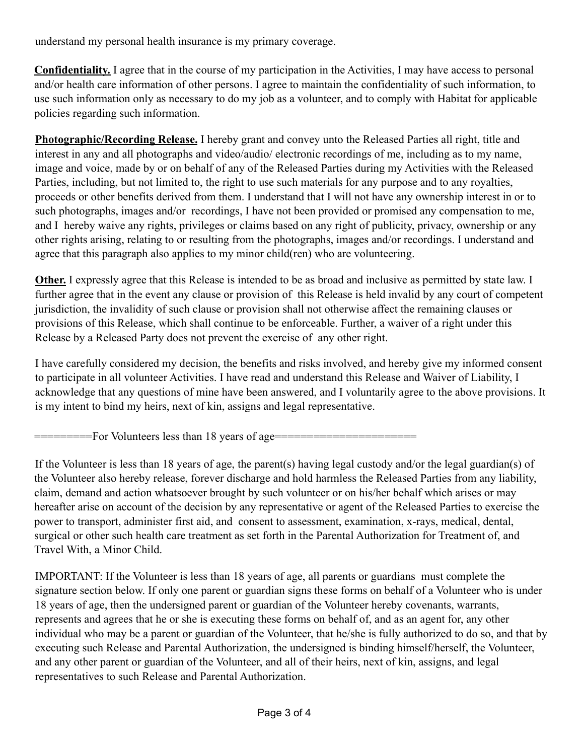understand my personal health insurance is my primary coverage.

**Confidentiality.** I agree that in the course of my participation in the Activities, I may have access to personal and/or health care information of other persons. I agree to maintain the confidentiality of such information, to use such information only as necessary to do my job as a volunteer, and to comply with Habitat for applicable policies regarding such information.

**Photographic/Recording Release.** I hereby grant and convey unto the Released Parties all right, title and interest in any and all photographs and video/audio/ electronic recordings of me, including as to my name, image and voice, made by or on behalf of any of the Released Parties during my Activities with the Released Parties, including, but not limited to, the right to use such materials for any purpose and to any royalties, proceeds or other benefits derived from them. I understand that I will not have any ownership interest in or to such photographs, images and/or recordings, I have not been provided or promised any compensation to me, and I hereby waive any rights, privileges or claims based on any right of publicity, privacy, ownership or any other rights arising, relating to or resulting from the photographs, images and/or recordings. I understand and agree that this paragraph also applies to my minor child(ren) who are volunteering.

**Other.** I expressly agree that this Release is intended to be as broad and inclusive as permitted by state law. I further agree that in the event any clause or provision of this Release is held invalid by any court of competent jurisdiction, the invalidity of such clause or provision shall not otherwise affect the remaining clauses or provisions of this Release, which shall continue to be enforceable. Further, a waiver of a right under this Release by a Released Party does not prevent the exercise of any other right.

I have carefully considered my decision, the benefits and risks involved, and hereby give my informed consent to participate in all volunteer Activities. I have read and understand this Release and Waiver of Liability, I acknowledge that any questions of mine have been answered, and I voluntarily agree to the above provisions. It is my intent to bind my heirs, next of kin, assigns and legal representative.

=========For Volunteers less than 18 years of age======================

If the Volunteer is less than 18 years of age, the parent(s) having legal custody and/or the legal guardian(s) of the Volunteer also hereby release, forever discharge and hold harmless the Released Parties from any liability, claim, demand and action whatsoever brought by such volunteer or on his/her behalf which arises or may hereafter arise on account of the decision by any representative or agent of the Released Parties to exercise the power to transport, administer first aid, and consent to assessment, examination, x-rays, medical, dental, surgical or other such health care treatment as set forth in the Parental Authorization for Treatment of, and Travel With, a Minor Child.

IMPORTANT: If the Volunteer is less than 18 years of age, all parents or guardians must complete the signature section below. If only one parent or guardian signs these forms on behalf of a Volunteer who is under 18 years of age, then the undersigned parent or guardian of the Volunteer hereby covenants, warrants, represents and agrees that he or she is executing these forms on behalf of, and as an agent for, any other individual who may be a parent or guardian of the Volunteer, that he/she is fully authorized to do so, and that by executing such Release and Parental Authorization, the undersigned is binding himself/herself, the Volunteer, and any other parent or guardian of the Volunteer, and all of their heirs, next of kin, assigns, and legal representatives to such Release and Parental Authorization.